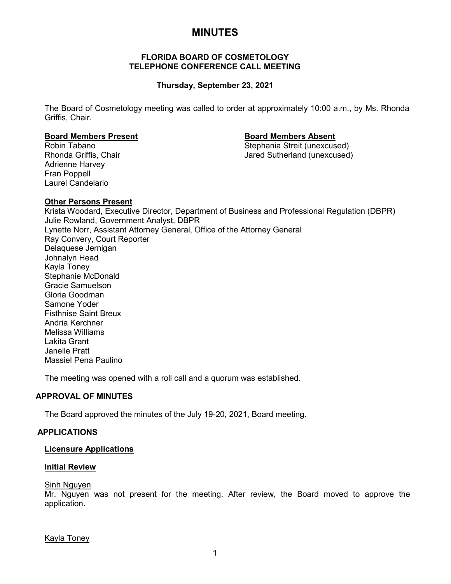# **MINUTES**

## **FLORIDA BOARD OF COSMETOLOGY TELEPHONE CONFERENCE CALL MEETING**

## **Thursday, September 23, 2021**

The Board of Cosmetology meeting was called to order at approximately 10:00 a.m., by Ms. Rhonda Griffis, Chair.

## **Board Members Present Board Members Absent**

Robin Tabano Stephania Streit (unexcused) Jared Sutherland (unexcused)

Adrienne Harvey Fran Poppell Laurel Candelario

## **Other Persons Present**

Krista Woodard, Executive Director, Department of Business and Professional Regulation (DBPR) Julie Rowland, Government Analyst, DBPR Lynette Norr, Assistant Attorney General, Office of the Attorney General Ray Convery, Court Reporter Delaquese Jernigan Johnalyn Head Kayla Toney Stephanie McDonald Gracie Samuelson Gloria Goodman Samone Yoder Fisthnise Saint Breux Andria Kerchner Melissa Williams Lakita Grant Janelle Pratt Massiel Pena Paulino

The meeting was opened with a roll call and a quorum was established.

## **APPROVAL OF MINUTES**

The Board approved the minutes of the July 19-20, 2021, Board meeting.

## **APPLICATIONS**

## **Licensure Applications**

## **Initial Review**

## Sinh Nguyen

Mr. Nguyen was not present for the meeting. After review, the Board moved to approve the application.

Kayla Toney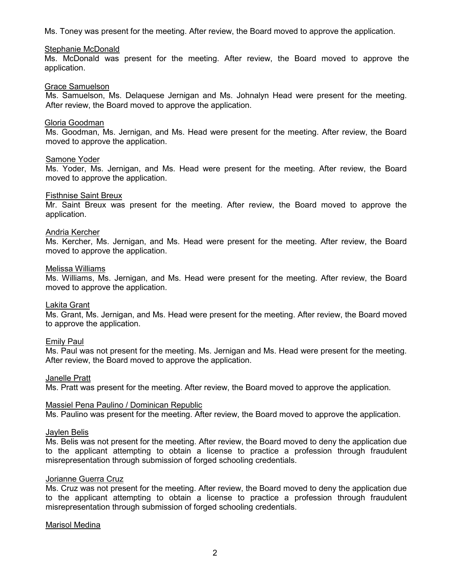Ms. Toney was present for the meeting. After review, the Board moved to approve the application.

#### Stephanie McDonald

Ms. McDonald was present for the meeting. After review, the Board moved to approve the application.

#### Grace Samuelson

Ms. Samuelson, Ms. Delaquese Jernigan and Ms. Johnalyn Head were present for the meeting. After review, the Board moved to approve the application.

#### Gloria Goodman

Ms. Goodman, Ms. Jernigan, and Ms. Head were present for the meeting. After review, the Board moved to approve the application.

#### Samone Yoder

Ms. Yoder, Ms. Jernigan, and Ms. Head were present for the meeting. After review, the Board moved to approve the application.

#### Fisthnise Saint Breux

Mr. Saint Breux was present for the meeting. After review, the Board moved to approve the application.

#### Andria Kercher

Ms. Kercher, Ms. Jernigan, and Ms. Head were present for the meeting. After review, the Board moved to approve the application.

#### Melissa Williams

Ms. Williams, Ms. Jernigan, and Ms. Head were present for the meeting. After review, the Board moved to approve the application.

#### Lakita Grant

Ms. Grant, Ms. Jernigan, and Ms. Head were present for the meeting. After review, the Board moved to approve the application.

#### Emily Paul

Ms. Paul was not present for the meeting. Ms. Jernigan and Ms. Head were present for the meeting. After review, the Board moved to approve the application.

## Janelle Pratt

Ms. Pratt was present for the meeting. After review, the Board moved to approve the application.

#### Massiel Pena Paulino / Dominican Republic

Ms. Paulino was present for the meeting. After review, the Board moved to approve the application.

#### Jaylen Belis

Ms. Belis was not present for the meeting. After review, the Board moved to deny the application due to the applicant attempting to obtain a license to practice a profession through fraudulent misrepresentation through submission of forged schooling credentials.

## Jorianne Guerra Cruz

Ms. Cruz was not present for the meeting. After review, the Board moved to deny the application due to the applicant attempting to obtain a license to practice a profession through fraudulent misrepresentation through submission of forged schooling credentials.

#### Marisol Medina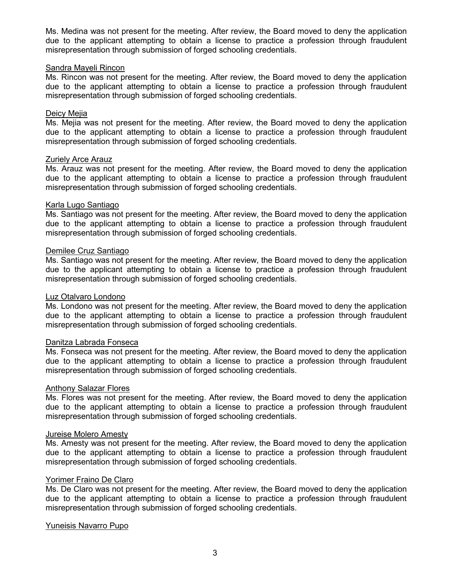Ms. Medina was not present for the meeting. After review, the Board moved to deny the application due to the applicant attempting to obtain a license to practice a profession through fraudulent misrepresentation through submission of forged schooling credentials.

## Sandra Mayeli Rincon

Ms. Rincon was not present for the meeting. After review, the Board moved to deny the application due to the applicant attempting to obtain a license to practice a profession through fraudulent misrepresentation through submission of forged schooling credentials.

## Deicy Mejia

Ms. Mejia was not present for the meeting. After review, the Board moved to deny the application due to the applicant attempting to obtain a license to practice a profession through fraudulent misrepresentation through submission of forged schooling credentials.

## **Zuriely Arce Arauz**

Ms. Arauz was not present for the meeting. After review, the Board moved to deny the application due to the applicant attempting to obtain a license to practice a profession through fraudulent misrepresentation through submission of forged schooling credentials.

## Karla Lugo Santiago

Ms. Santiago was not present for the meeting. After review, the Board moved to deny the application due to the applicant attempting to obtain a license to practice a profession through fraudulent misrepresentation through submission of forged schooling credentials.

## Demilee Cruz Santiago

Ms. Santiago was not present for the meeting. After review, the Board moved to deny the application due to the applicant attempting to obtain a license to practice a profession through fraudulent misrepresentation through submission of forged schooling credentials.

#### Luz Otalvaro Londono

Ms. Londono was not present for the meeting. After review, the Board moved to deny the application due to the applicant attempting to obtain a license to practice a profession through fraudulent misrepresentation through submission of forged schooling credentials.

#### Danitza Labrada Fonseca

Ms. Fonseca was not present for the meeting. After review, the Board moved to deny the application due to the applicant attempting to obtain a license to practice a profession through fraudulent misrepresentation through submission of forged schooling credentials.

#### Anthony Salazar Flores

Ms. Flores was not present for the meeting. After review, the Board moved to deny the application due to the applicant attempting to obtain a license to practice a profession through fraudulent misrepresentation through submission of forged schooling credentials.

#### Jureise Molero Amesty

Ms. Amesty was not present for the meeting. After review, the Board moved to deny the application due to the applicant attempting to obtain a license to practice a profession through fraudulent misrepresentation through submission of forged schooling credentials.

#### Yorimer Fraino De Claro

Ms. De Claro was not present for the meeting. After review, the Board moved to deny the application due to the applicant attempting to obtain a license to practice a profession through fraudulent misrepresentation through submission of forged schooling credentials.

## Yuneisis Navarro Pupo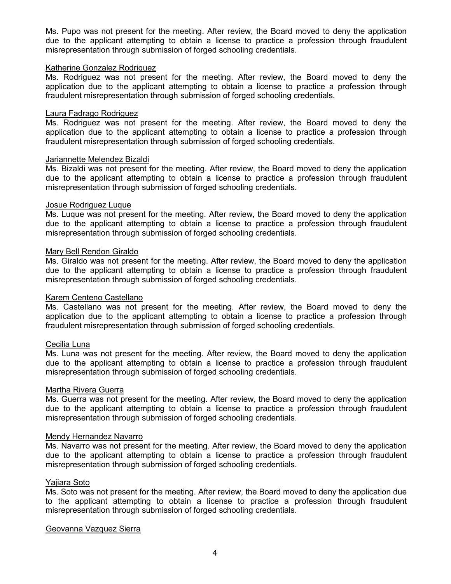Ms. Pupo was not present for the meeting. After review, the Board moved to deny the application due to the applicant attempting to obtain a license to practice a profession through fraudulent misrepresentation through submission of forged schooling credentials.

## Katherine Gonzalez Rodriguez

Ms. Rodriguez was not present for the meeting. After review, the Board moved to deny the application due to the applicant attempting to obtain a license to practice a profession through fraudulent misrepresentation through submission of forged schooling credentials.

## Laura Fadrago Rodriguez

Ms. Rodriguez was not present for the meeting. After review, the Board moved to deny the application due to the applicant attempting to obtain a license to practice a profession through fraudulent misrepresentation through submission of forged schooling credentials.

## Jariannette Melendez Bizaldi

Ms. Bizaldi was not present for the meeting. After review, the Board moved to deny the application due to the applicant attempting to obtain a license to practice a profession through fraudulent misrepresentation through submission of forged schooling credentials.

## Josue Rodriguez Luque

Ms. Luque was not present for the meeting. After review, the Board moved to deny the application due to the applicant attempting to obtain a license to practice a profession through fraudulent misrepresentation through submission of forged schooling credentials.

## Mary Bell Rendon Giraldo

Ms. Giraldo was not present for the meeting. After review, the Board moved to deny the application due to the applicant attempting to obtain a license to practice a profession through fraudulent misrepresentation through submission of forged schooling credentials.

## Karem Centeno Castellano

Ms. Castellano was not present for the meeting. After review, the Board moved to deny the application due to the applicant attempting to obtain a license to practice a profession through fraudulent misrepresentation through submission of forged schooling credentials.

## Cecilia Luna

Ms. Luna was not present for the meeting. After review, the Board moved to deny the application due to the applicant attempting to obtain a license to practice a profession through fraudulent misrepresentation through submission of forged schooling credentials.

#### Martha Rivera Guerra

Ms. Guerra was not present for the meeting. After review, the Board moved to deny the application due to the applicant attempting to obtain a license to practice a profession through fraudulent misrepresentation through submission of forged schooling credentials.

#### Mendy Hernandez Navarro

Ms. Navarro was not present for the meeting. After review, the Board moved to deny the application due to the applicant attempting to obtain a license to practice a profession through fraudulent misrepresentation through submission of forged schooling credentials.

#### Yajiara Soto

Ms. Soto was not present for the meeting. After review, the Board moved to deny the application due to the applicant attempting to obtain a license to practice a profession through fraudulent misrepresentation through submission of forged schooling credentials.

#### Geovanna Vazquez Sierra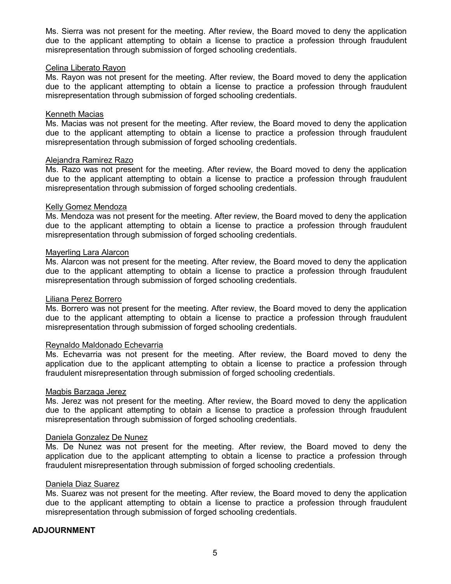Ms. Sierra was not present for the meeting. After review, the Board moved to deny the application due to the applicant attempting to obtain a license to practice a profession through fraudulent misrepresentation through submission of forged schooling credentials.

## Celina Liberato Rayon

Ms. Rayon was not present for the meeting. After review, the Board moved to deny the application due to the applicant attempting to obtain a license to practice a profession through fraudulent misrepresentation through submission of forged schooling credentials.

## Kenneth Macias

Ms. Macias was not present for the meeting. After review, the Board moved to deny the application due to the applicant attempting to obtain a license to practice a profession through fraudulent misrepresentation through submission of forged schooling credentials.

## Alejandra Ramirez Razo

Ms. Razo was not present for the meeting. After review, the Board moved to deny the application due to the applicant attempting to obtain a license to practice a profession through fraudulent misrepresentation through submission of forged schooling credentials.

## Kelly Gomez Mendoza

Ms. Mendoza was not present for the meeting. After review, the Board moved to deny the application due to the applicant attempting to obtain a license to practice a profession through fraudulent misrepresentation through submission of forged schooling credentials.

## Mayerling Lara Alarcon

Ms. Alarcon was not present for the meeting. After review, the Board moved to deny the application due to the applicant attempting to obtain a license to practice a profession through fraudulent misrepresentation through submission of forged schooling credentials.

#### Liliana Perez Borrero

Ms. Borrero was not present for the meeting. After review, the Board moved to deny the application due to the applicant attempting to obtain a license to practice a profession through fraudulent misrepresentation through submission of forged schooling credentials.

#### Reynaldo Maldonado Echevarria

Ms. Echevarria was not present for the meeting. After review, the Board moved to deny the application due to the applicant attempting to obtain a license to practice a profession through fraudulent misrepresentation through submission of forged schooling credentials.

#### Magbis Barzaga Jerez

Ms. Jerez was not present for the meeting. After review, the Board moved to deny the application due to the applicant attempting to obtain a license to practice a profession through fraudulent misrepresentation through submission of forged schooling credentials.

#### Daniela Gonzalez De Nunez

Ms. De Nunez was not present for the meeting. After review, the Board moved to deny the application due to the applicant attempting to obtain a license to practice a profession through fraudulent misrepresentation through submission of forged schooling credentials.

#### Daniela Diaz Suarez

Ms. Suarez was not present for the meeting. After review, the Board moved to deny the application due to the applicant attempting to obtain a license to practice a profession through fraudulent misrepresentation through submission of forged schooling credentials.

## **ADJOURNMENT**